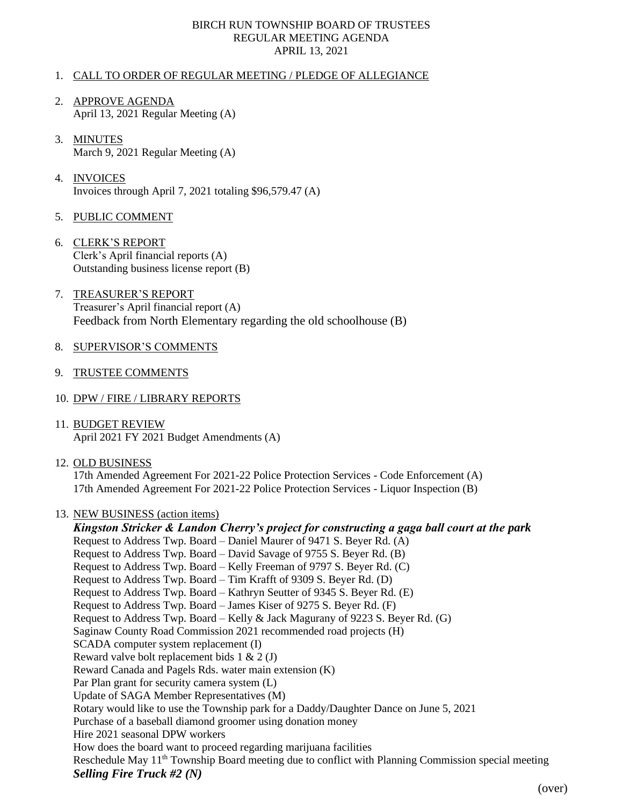## BIRCH RUN TOWNSHIP BOARD OF TRUSTEES REGULAR MEETING AGENDA APRIL 13, 2021

## 1. CALL TO ORDER OF REGULAR MEETING / PLEDGE OF ALLEGIANCE

- 2. APPROVE AGENDA April 13, 2021 Regular Meeting (A)
- 3. MINUTES March 9, 2021 Regular Meeting (A)
- 4. INVOICES Invoices through April 7, 2021 totaling \$96,579.47 (A)
- 5. PUBLIC COMMENT
- 6. CLERK'S REPORT Clerk's April financial reports (A) Outstanding business license report (B)
- 7. TREASURER'S REPORT Treasurer's April financial report (A) Feedback from North Elementary regarding the old schoolhouse (B)
- 8. SUPERVISOR'S COMMENTS
- 9. TRUSTEE COMMENTS
- 10. DPW / FIRE / LIBRARY REPORTS
- 11. BUDGET REVIEW April 2021 FY 2021 Budget Amendments (A)
- 12. OLD BUSINESS

17th Amended Agreement For 2021-22 Police Protection Services - Code Enforcement (A) 17th Amended Agreement For 2021-22 Police Protection Services - Liquor Inspection (B)

## 13. NEW BUSINESS (action items)

*Kingston Stricker & Landon Cherry's project for constructing a gaga ball court at the park* Request to Address Twp. Board – Daniel Maurer of 9471 S. Beyer Rd. (A) Request to Address Twp. Board – David Savage of 9755 S. Beyer Rd. (B) Request to Address Twp. Board – Kelly Freeman of 9797 S. Beyer Rd. (C) Request to Address Twp. Board – Tim Krafft of 9309 S. Beyer Rd. (D) Request to Address Twp. Board – Kathryn Seutter of 9345 S. Beyer Rd. (E) Request to Address Twp. Board – James Kiser of 9275 S. Beyer Rd. (F) Request to Address Twp. Board – Kelly & Jack Magurany of 9223 S. Beyer Rd. (G) Saginaw County Road Commission 2021 recommended road projects (H) SCADA computer system replacement (I) Reward valve bolt replacement bids 1 & 2 (J) Reward Canada and Pagels Rds. water main extension (K) Par Plan grant for security camera system (L) Update of SAGA Member Representatives (M) Rotary would like to use the Township park for a Daddy/Daughter Dance on June 5, 2021 Purchase of a baseball diamond groomer using donation money Hire 2021 seasonal DPW workers How does the board want to proceed regarding marijuana facilities Reschedule May 11<sup>th</sup> Township Board meeting due to conflict with Planning Commission special meeting *Selling Fire Truck #2 (N)*